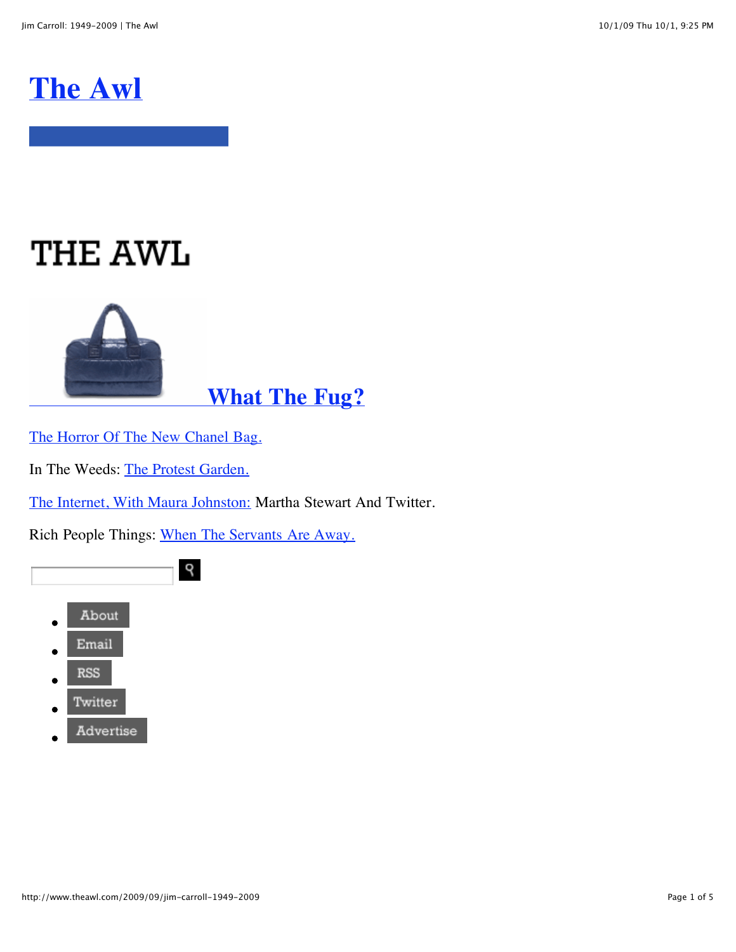## **[The Awl](http://www.theawl.com/)**

# **THE AWL**



## **[What The Fug?](http://www.theawl.com/2009/09/karl-lagerfeld-extrudes-huge-puffy-chanel-bag-o-fug)**

[The Horror Of The New Chanel Bag.](http://www.theawl.com/2009/09/karl-lagerfeld-extrudes-huge-puffy-chanel-bag-o-fug)

In The Weeds: [The Protest Garden.](http://www.theawl.com/2009/09/in-the-weeds-with-matthew-gallaway-the-protest-garden)

[The Internet, With Maura Johnston:](http://www.theawl.com/2009/09/the-internet-with-maura-johnston-martha-stewart-show-embraces-twitter-grills-founder) Martha Stewart And Twitter.

Rich People Things: [When The Servants Are Away.](http://www.theawl.com/2009/09/rich-people-things-with-chris-lehmann-the-horrible-ramadan-servant-exodus)



Advertise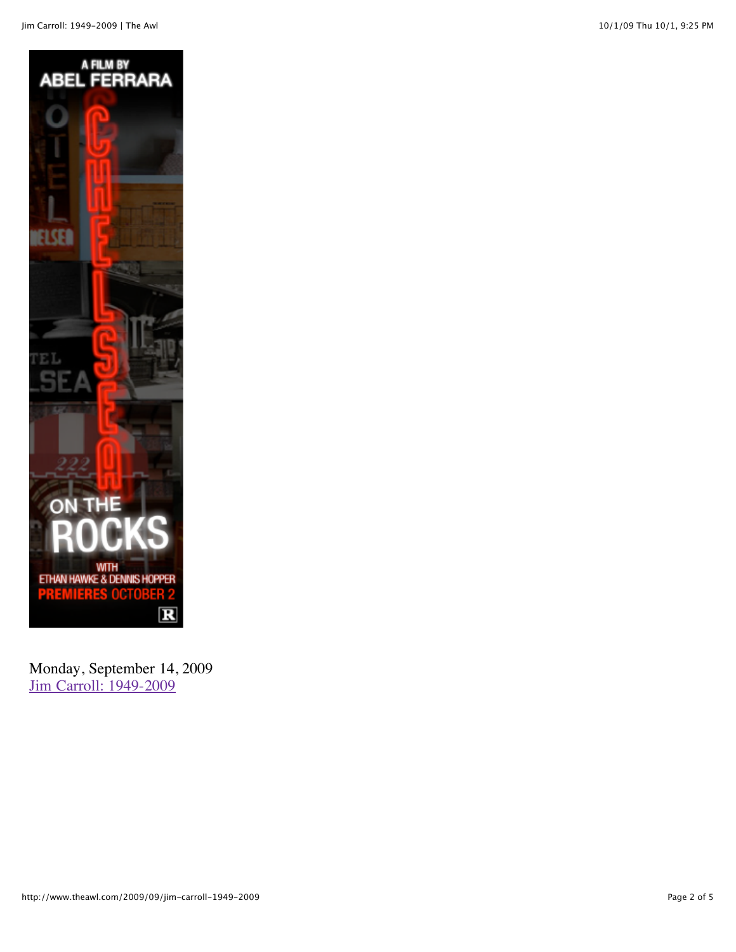

Monday, September 14, 2009 [Jim Carroll: 1949-2009](http://www.theawl.com/2009/09/jim-carroll-1949-2009)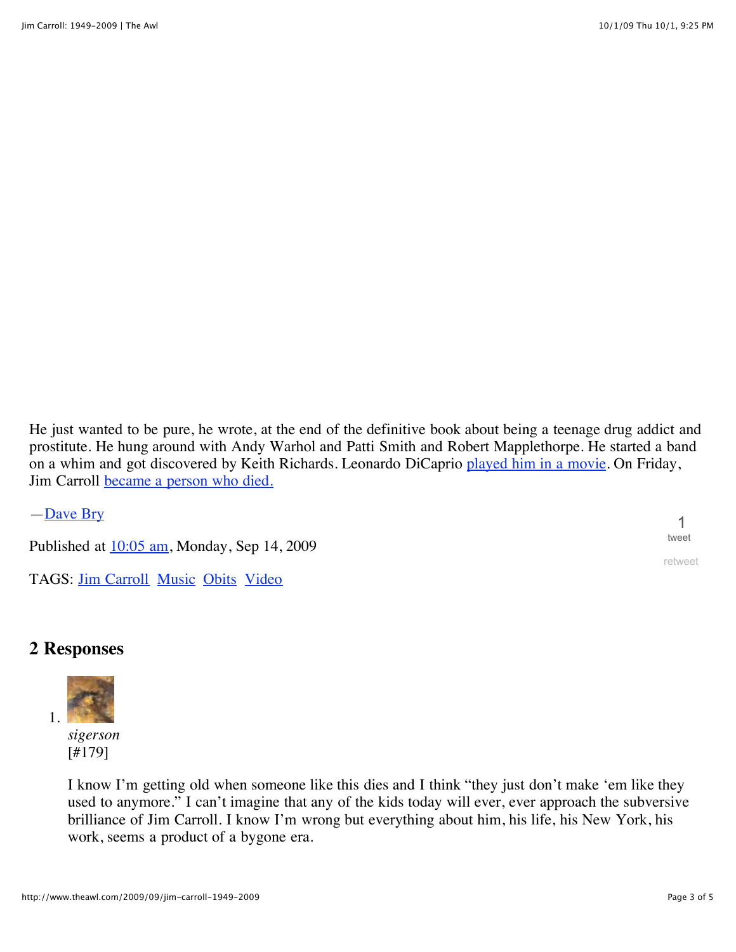He just wanted to be pure, he wrote, at the end of the definitive book about being a teenage drug addict and prostitute. He hung around with Andy Warhol and Patti Smith and Robert Mapplethorpe. He started a band on a whim and got discovered by Keith Richards. Leonardo DiCaprio [played him in a movie](http://www.youtube.com/watch?v=1IAciwWSKbw). On Friday, Jim Carroll **[became a person who died.](http://www.nytimes.com/2009/09/14/books/14carroll.html)** 

[—Dave Bry](http://www.theawl.com/author/dave-bry/)

Published at  $10:05$  am, Monday, Sep 14, 2009

TAGS: **Jim Carroll [Music](http://www.theawl.com/tag/music) [Obits](http://www.theawl.com/tag/obits) [Video](http://www.theawl.com/tag/video)** 

#### **2 Responses**



[#179]

I know I'm getting old when someone like this dies and I think "they just don't make 'em like they used to anymore." I can't imagine that any of the kids today will ever, ever approach the subversive brilliance of Jim Carroll. I know I'm wrong but everything about him, his life, his New York, his work, seems a product of a bygone era.

1 [tweet](http://tweetmeme.com/story/172710678/)

[retweet](http://twitter.com/home/?status=RT+%40awl+Jim+Carroll%3A+1949-2009+%7C+The+Awl+http%3A%2F%2Fbit.ly%2F6XXHF)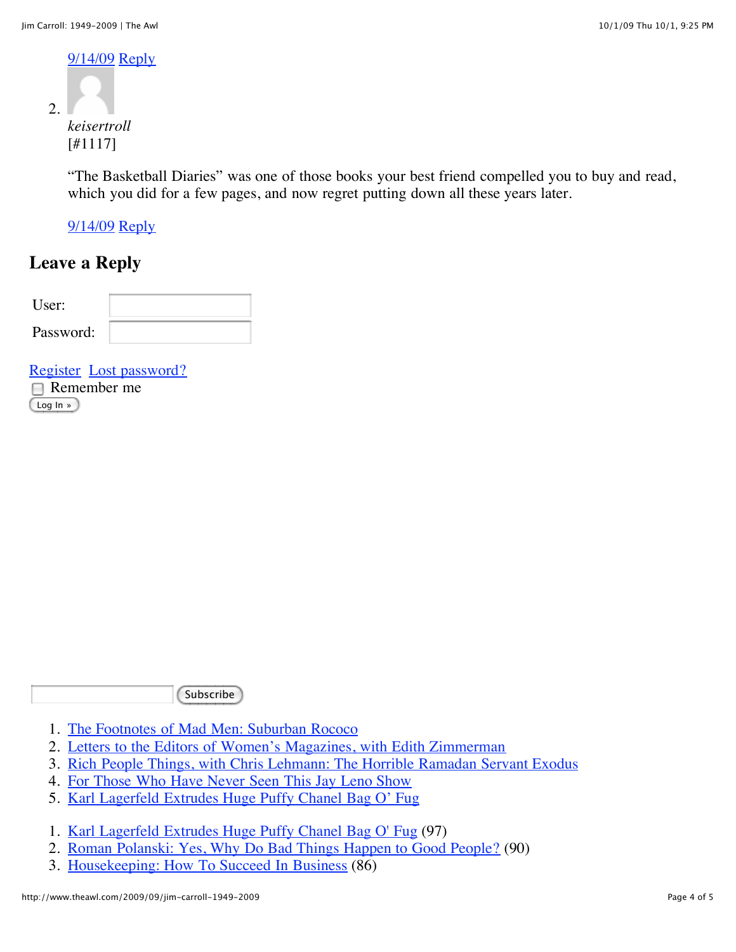[9/14/09](http://www.theawl.com/2009/09/jim-carroll-1949-2009/comment-page-1#comment-22402) [Reply](http://www.theawl.com/2009/09/jim-carroll-1949-2009#register)

 $\mathcal{L}$ 

*keisertroll* [#1117]

"The Basketball Diaries" was one of those books your best friend compelled you to buy and read, which you did for a few pages, and now regret putting down all these years later.

[9/14/09](http://www.theawl.com/2009/09/jim-carroll-1949-2009/comment-page-1#comment-22476) [Reply](http://www.theawl.com/2009/09/jim-carroll-1949-2009#register)

### **Leave a Reply**

| ser:      |  |
|-----------|--|
| Password: |  |

|          | Register Lost password? |
|----------|-------------------------|
|          | $\Box$ Remember me      |
| Log In » |                         |

**Subscribe** 

- 1. [The Footnotes of Mad Men: Suburban Rococo](http://www.theawl.com/2009/09/footnotes-of-mad-men-suburban-rococo)
- 2. [Letters to the Editors of Women's Magazines, with Edith Zimmerman](http://www.theawl.com/2009/10/letters-to-the-editors-of-womens-magazines-with-edith-zimmerman)
- 3. [Rich People Things, with Chris Lehmann: The Horrible Ramadan Servant Exodus](http://www.theawl.com/2009/09/rich-people-things-with-chris-lehmann-the-horrible-ramadan-servant-exodus)
- 4. [For Those Who Have Never Seen This Jay Leno Show](http://www.theawl.com/2009/09/for-those-who-have-never-seen-this-jay-leno-show)
- 5. [Karl Lagerfeld Extrudes Huge Puffy Chanel Bag O' Fug](http://www.theawl.com/2009/09/karl-lagerfeld-extrudes-huge-puffy-chanel-bag-o-fug)
- 1. [Karl Lagerfeld Extrudes Huge Puffy Chanel Bag O' Fug](http://www.theawl.com/2009/09/karl-lagerfeld-extrudes-huge-puffy-chanel-bag-o-fug) (97)
- 2. [Roman Polanski: Yes, Why Do Bad Things Happen to Good People?](http://www.theawl.com/2009/09/roman-polanski-yes-why-do-bad-things-happen-to-good-people) (90)
- 3. [Housekeeping: How To Succeed In Business](http://www.theawl.com/2009/10/housekeeping-how-to-succeed-in-business) (86)